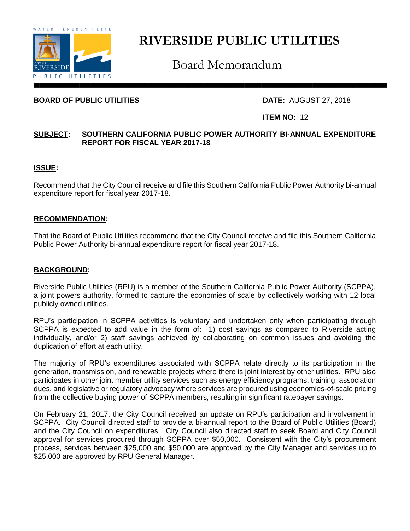

# **RIVERSIDE PUBLIC UTILITIES**

Board Memorandum

# **BOARD OF PUBLIC UTILITIES** DATE: AUGUST 27, 2018

## **ITEM NO:** 12

# **SUBJECT: SOUTHERN CALIFORNIA PUBLIC POWER AUTHORITY BI-ANNUAL EXPENDITURE REPORT FOR FISCAL YEAR 2017-18**

# **ISSUE:**

Recommend that the City Council receive and file this Southern California Public Power Authority bi-annual expenditure report for fiscal year 2017-18.

#### **RECOMMENDATION:**

That the Board of Public Utilities recommend that the City Council receive and file this Southern California Public Power Authority bi-annual expenditure report for fiscal year 2017-18.

#### **BACKGROUND:**

Riverside Public Utilities (RPU) is a member of the Southern California Public Power Authority (SCPPA), a joint powers authority, formed to capture the economies of scale by collectively working with 12 local publicly owned utilities.

RPU's participation in SCPPA activities is voluntary and undertaken only when participating through SCPPA is expected to add value in the form of: 1) cost savings as compared to Riverside acting individually, and/or 2) staff savings achieved by collaborating on common issues and avoiding the duplication of effort at each utility.

The majority of RPU's expenditures associated with SCPPA relate directly to its participation in the generation, transmission, and renewable projects where there is joint interest by other utilities. RPU also participates in other joint member utility services such as energy efficiency programs, training, association dues, and legislative or regulatory advocacy where services are procured using economies-of-scale pricing from the collective buying power of SCPPA members, resulting in significant ratepayer savings.

On February 21, 2017, the City Council received an update on RPU's participation and involvement in SCPPA. City Council directed staff to provide a bi-annual report to the Board of Public Utilities (Board) and the City Council on expenditures. City Council also directed staff to seek Board and City Council approval for services procured through SCPPA over \$50,000. Consistent with the City's procurement process, services between \$25,000 and \$50,000 are approved by the City Manager and services up to \$25,000 are approved by RPU General Manager.